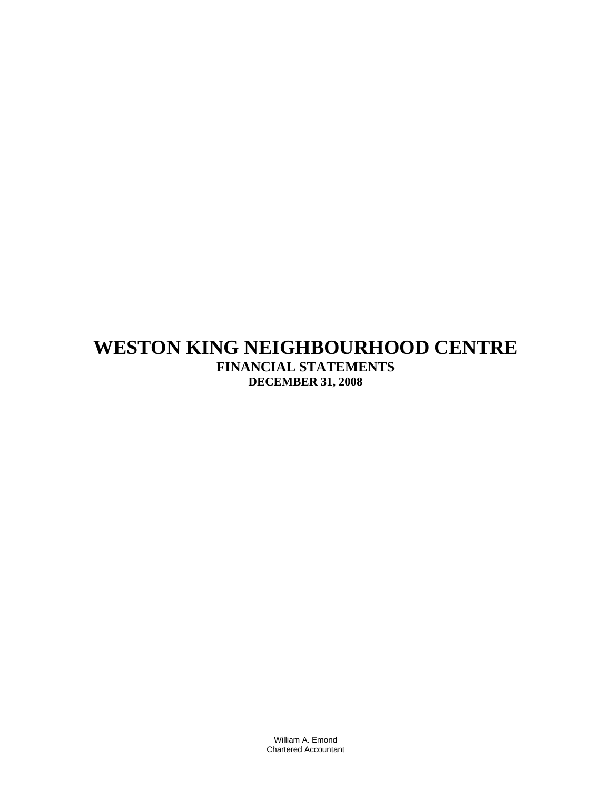# **WESTON KING NEIGHBOURHOOD CENTRE FINANCIAL STATEMENTS DECEMBER 31, 2008**

William A. Emond Chartered Accountant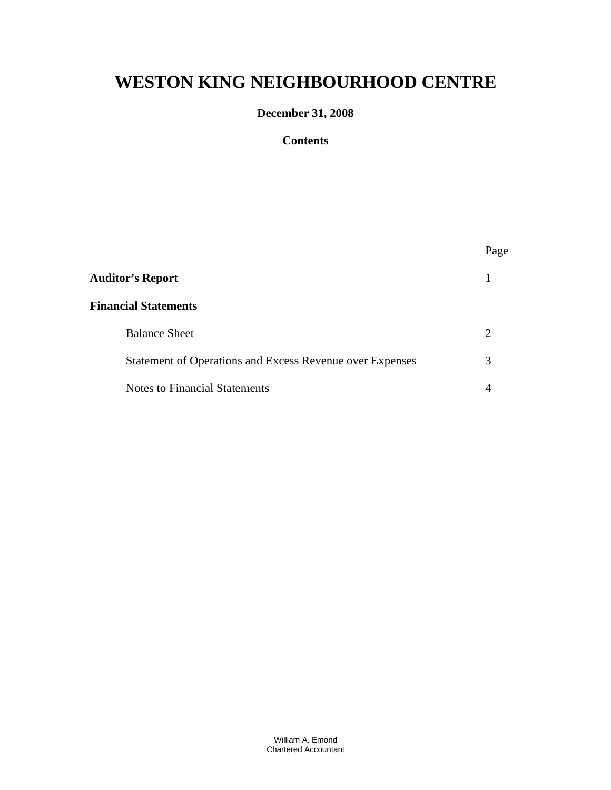# **WESTON KING NEIGHBOURHOOD CENTRE**

# **December 31, 2008**

### **Contents**

|                                                          | Page |
|----------------------------------------------------------|------|
| <b>Auditor's Report</b>                                  |      |
| <b>Financial Statements</b>                              |      |
| <b>Balance Sheet</b>                                     | 2    |
| Statement of Operations and Excess Revenue over Expenses | 3    |
| <b>Notes to Financial Statements</b>                     |      |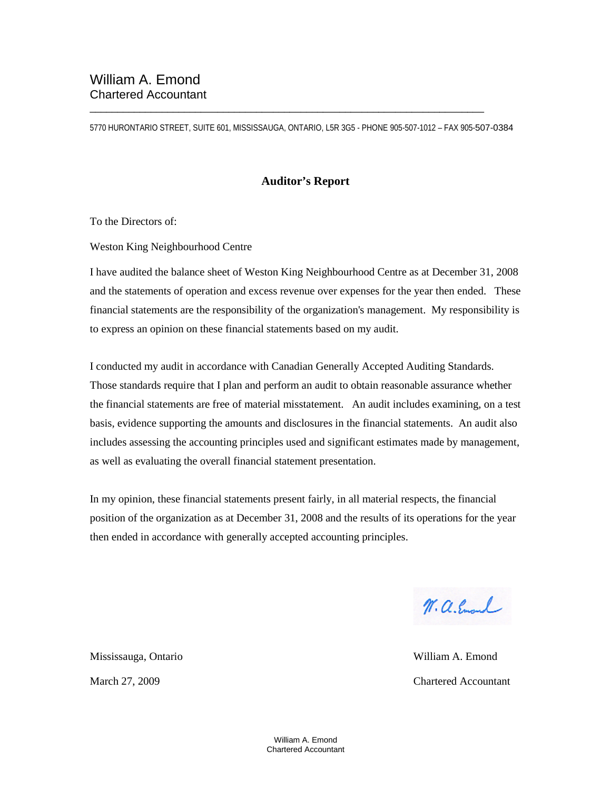5770 HURONTARIO STREET, SUITE 601, MISSISSAUGA, ONTARIO, L5R 3G5 - PHONE 905-507-1012 – FAX 905-507-0384

\_\_\_\_\_\_\_\_\_\_\_\_\_\_\_\_\_\_\_\_\_\_\_\_\_\_\_\_\_\_\_\_\_\_\_\_\_\_\_\_\_\_\_\_\_\_\_\_\_\_\_\_\_\_\_\_\_\_\_\_\_\_\_\_\_\_\_\_\_\_\_

#### **Auditor's Report**

To the Directors of:

Weston King Neighbourhood Centre

I have audited the balance sheet of Weston King Neighbourhood Centre as at December 31, 2008 and the statements of operation and excess revenue over expenses for the year then ended. These financial statements are the responsibility of the organization's management. My responsibility is to express an opinion on these financial statements based on my audit.

I conducted my audit in accordance with Canadian Generally Accepted Auditing Standards. Those standards require that I plan and perform an audit to obtain reasonable assurance whether the financial statements are free of material misstatement. An audit includes examining, on a test basis, evidence supporting the amounts and disclosures in the financial statements. An audit also includes assessing the accounting principles used and significant estimates made by management, as well as evaluating the overall financial statement presentation.

In my opinion, these financial statements present fairly, in all material respects, the financial position of the organization as at December 31, 2008 and the results of its operations for the year then ended in accordance with generally accepted accounting principles.

W. a. Emand

March 27, 2009 Chartered Accountant

Mississauga, Ontario William A. Emond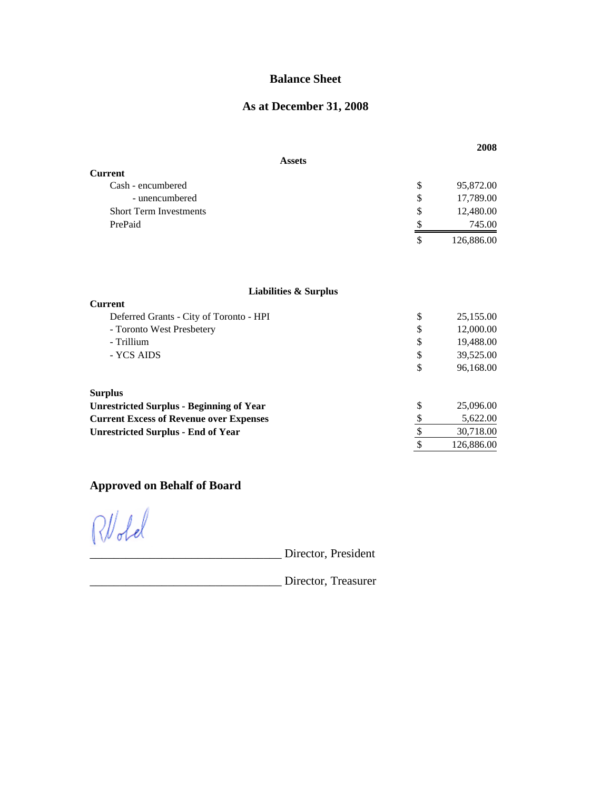## **Balance Sheet**

# **As at December 31, 2008**

|                                                 |                 | 2008       |
|-------------------------------------------------|-----------------|------------|
| <b>Assets</b>                                   |                 |            |
| <b>Current</b>                                  |                 |            |
| Cash - encumbered                               | \$              | 95,872.00  |
| - unencumbered                                  | \$              | 17,789.00  |
| <b>Short Term Investments</b>                   | \$              | 12,480.00  |
| PrePaid                                         | \$              | 745.00     |
|                                                 | $\mathcal{S}$   | 126,886.00 |
|                                                 |                 |            |
| <b>Liabilities &amp; Surplus</b>                |                 |            |
| <b>Current</b>                                  |                 |            |
| Deferred Grants - City of Toronto - HPI         | \$              | 25,155.00  |
| - Toronto West Presbetery                       | \$              | 12,000.00  |
| - Trillium                                      | \$              | 19,488.00  |
| - YCS AIDS                                      | \$              | 39,525.00  |
|                                                 | \$              | 96,168.00  |
| <b>Surplus</b>                                  |                 |            |
| <b>Unrestricted Surplus - Beginning of Year</b> | \$              | 25,096.00  |
| <b>Current Excess of Revenue over Expenses</b>  | \$              | 5,622.00   |
| <b>Unrestricted Surplus - End of Year</b>       | $\overline{\$}$ | 30,718.00  |
|                                                 | \$              | 126,886.00 |

# **Approved on Behalf of Board**

 $RU$ dd

\_\_\_\_\_\_\_\_\_\_\_\_\_\_\_\_\_\_\_\_\_\_\_\_\_\_\_\_\_\_\_\_ Director, President

\_\_\_\_\_\_\_\_\_\_\_\_\_\_\_\_\_\_\_\_\_\_\_\_\_\_\_\_\_\_\_\_ Director, Treasurer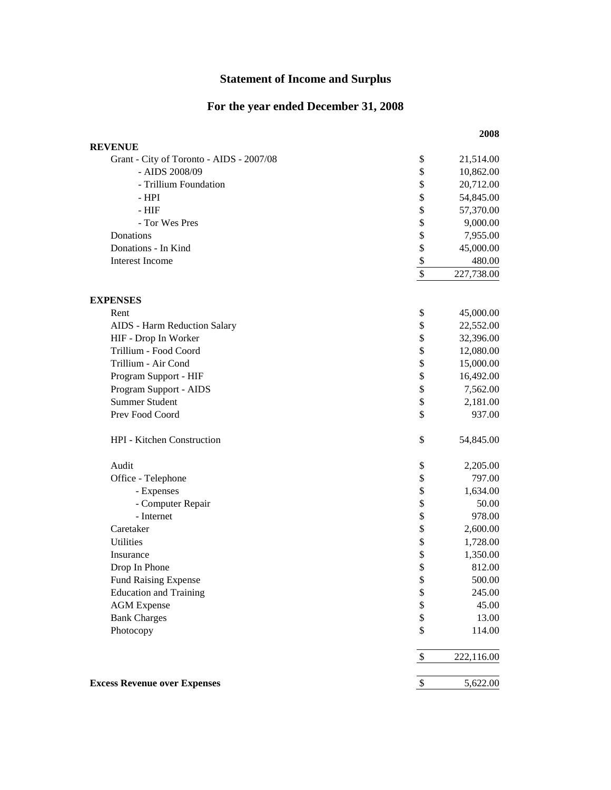# **Statement of Income and Surplus**

# **For the year ended December 31, 2008**

| <b>REVENUE</b>                           |                   |            |
|------------------------------------------|-------------------|------------|
| Grant - City of Toronto - AIDS - 2007/08 | \$                | 21,514.00  |
| - AIDS 2008/09                           | \$                | 10,862.00  |
| - Trillium Foundation                    | \$                | 20,712.00  |
| $-HPI$                                   | \$                | 54,845.00  |
| $- HIF$                                  | \$                | 57,370.00  |
| - Tor Wes Pres                           | \$                | 9,000.00   |
| Donations                                | \$                | 7,955.00   |
| Donations - In Kind                      | \$                | 45,000.00  |
| <b>Interest Income</b>                   | $\frac{1}{2}$     | 480.00     |
|                                          | $\overline{\$}$   | 227,738.00 |
| <b>EXPENSES</b>                          |                   |            |
| Rent                                     | \$                | 45,000.00  |
| AIDS - Harm Reduction Salary             | \$                | 22,552.00  |
| HIF - Drop In Worker                     | \$                | 32,396.00  |
| Trillium - Food Coord                    | \$                | 12,080.00  |
| Trillium - Air Cond                      | \$                | 15,000.00  |
| Program Support - HIF                    | \$                | 16,492.00  |
| Program Support - AIDS                   | \$                | 7,562.00   |
| <b>Summer Student</b>                    | \$                | 2,181.00   |
| Prev Food Coord                          | \$                | 937.00     |
| HPI - Kitchen Construction               | \$                | 54,845.00  |
| Audit                                    | \$                | 2,205.00   |
| Office - Telephone                       | \$                | 797.00     |
| - Expenses                               | \$                | 1,634.00   |
| - Computer Repair                        | \$                | 50.00      |
| - Internet                               | \$                | 978.00     |
| Caretaker                                | \$                | 2,600.00   |
| <b>Utilities</b>                         | \$                | 1,728.00   |
| Insurance                                | \$                | 1,350.00   |
| Drop In Phone                            | \$                | 812.00     |
| <b>Fund Raising Expense</b>              | \$                | 500.00     |
| <b>Education and Training</b>            | $\boldsymbol{\$}$ | 245.00     |
| <b>AGM</b> Expense                       | \$                | 45.00      |
| <b>Bank Charges</b>                      | \$                | 13.00      |
| Photocopy                                | \$                | 114.00     |
|                                          | \$                | 222,116.00 |
| <b>Excess Revenue over Expenses</b>      | \$                | 5,622.00   |

#### **2008**